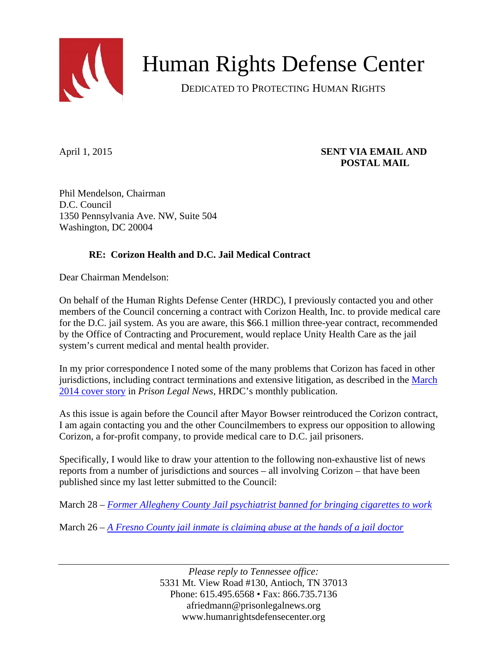

Human Rights Defense Center

DEDICATED TO PROTECTING HUMAN RIGHTS

## April 1, 2015 **SENT VIA EMAIL AND POSTAL MAIL**

Phil Mendelson, Chairman D.C. Council 1350 Pennsylvania Ave. NW, Suite 504 Washington, DC 20004

## **RE: Corizon Health and D.C. Jail Medical Contract**

Dear Chairman Mendelson:

On behalf of the Human Rights Defense Center (HRDC), I previously contacted you and other members of the Council concerning a contract with Corizon Health, Inc. to provide medical care for the D.C. jail system. As you are aware, this \$66.1 million three-year contract, recommended by the Office of Contracting and Procurement, would replace Unity Health Care as the jail system's current medical and mental health provider.

In my prior correspondence I noted some of the many problems that Corizon has faced in other jurisdictions, including contract terminations and extensive litigation, as described in the [March](https://www.prisonlegalnews.org/media/issues/03pln14.pdf)  [2014 cover story](https://www.prisonlegalnews.org/media/issues/03pln14.pdf) in *Prison Legal News*, HRDC's monthly publication.

As this issue is again before the Council after Mayor Bowser reintroduced the Corizon contract, I am again contacting you and the other Councilmembers to express our opposition to allowing Corizon, a for-profit company, to provide medical care to D.C. jail prisoners.

Specifically, I would like to draw your attention to the following non-exhaustive list of news reports from a number of jurisdictions and sources – all involving Corizon – that have been published since my last letter submitted to the Council:

March 28 – *[Former Allegheny County Jail psychiatrist banned for bringing cigarettes to work](http://www.post-gazette.com/local/city/2015/03/28/Former-Allegheny-County-Jail-psychiatrist-banned-for-bringing-cigarettes-to-work/stories/201503280052)*

March 26 – *[A Fresno County jail inmate is claiming abuse at the hands of a jail doctor](http://abc30.com/news/warrant-inmate-abuse-and-cover-up-at-fresno-county-jail/575233/)*

*Please reply to Tennessee office:*  5331 Mt. View Road #130, Antioch, TN 37013 Phone: 615.495.6568 • Fax: 866.735.7136 afriedmann@prisonlegalnews.org www.humanrightsdefensecenter.org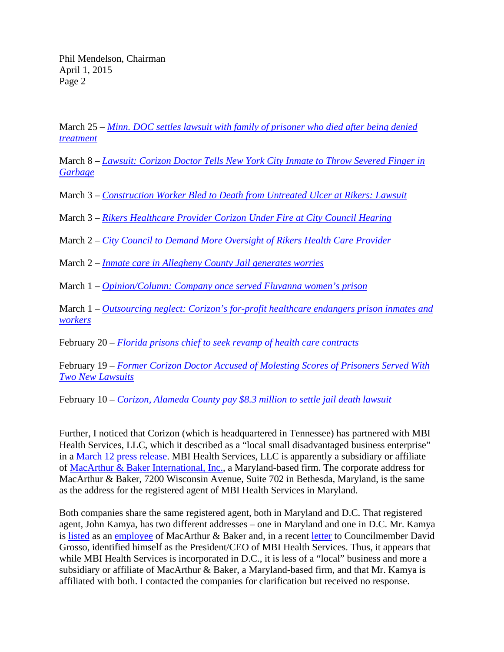March 25 – *[Minn. DOC settles lawsuit with family of prisoner who died after being denied](http://www.correctionsone.com/correctional-healthcare/articles/8501982-Minn-DOC-settles-lawsuit-with-family-of-prisoner-who-died-after-being-denied-treatment/)  [treatment](http://www.correctionsone.com/correctional-healthcare/articles/8501982-Minn-DOC-settles-lawsuit-with-family-of-prisoner-who-died-after-being-denied-treatment/)*

March 8 – *[Lawsuit: Corizon Doctor Tells New York City Inmate to Throw Severed Finger in](http://dissenter.firedoglake.com/2015/03/08/lawsuit-corizon-doctor-tells-new-york-city-inmate-to-throw-severed-finger-in-garbage/)  [Garbage](http://dissenter.firedoglake.com/2015/03/08/lawsuit-corizon-doctor-tells-new-york-city-inmate-to-throw-severed-finger-in-garbage/)*

March 3 – *[Construction Worker Bled to Death from Untreated Ulcer at Rikers: Lawsuit](http://www.dnainfo.com/new-york/20150303/east-elmhurst/construction-worker-bled-death-from-untreated-ulcer-at-rikers-lawsuit)*

March 3 – *[Rikers Healthcare Provider Corizon Under Fire at City Council Hearing](http://observer.com/2015/03/rikers-healthcare-provider-corizon-under-fire-at-city-council-hearing/)*

March 2 – *[City Council to Demand More Oversight of Rikers Health Care Provider](http://www.dnainfo.com/new-york/20150302/east-elmhurst/city-council-demand-more-oversight-of-rikers-health-care-provider)*

March 2 – *[Inmate care in Allegheny County Jail generates worries](http://triblive.com/news/allegheny/7668418-74/corizon-jail-health#axzz3Usb5Q2x6)*

March 1 – *[Opinion/Column: Company once served Fluvanna women's prison](http://www.dailyprogress.com/opinion/opinion-column-company-once-served-fluvanna-women-s-prison/article_15a73e6a-c012-11e4-b7ac-9f6399fdaf98.html)*

March 1 – *[Outsourcing neglect: Corizon's for-profit healthcare endangers prison inmates and](http://www.sfexaminer.com/sanfrancisco/outsourcing-neglect-corizons-for-profit-healthcare-endangers-prison-inmates-and-workers/Content?oid=2921905)  [workers](http://www.sfexaminer.com/sanfrancisco/outsourcing-neglect-corizons-for-profit-healthcare-endangers-prison-inmates-and-workers/Content?oid=2921905)*

February 20 – *[Florida prisons chief to seek revamp of health care contracts](http://www.tampabay.com/news/politics/stateroundup/florida-prisons-chief-to-seek-revamp-of-health-care-contracts/2218522)*

February 19 – *[Former Corizon Doctor Accused of Molesting Scores of Prisoners Served With](http://dissenter.firedoglake.com/2015/02/19/former-corizon-doctor-accused-of-molesting-scores-of-prisoners-served-with-two-new-lawsuits/)  [Two New Lawsuits](http://dissenter.firedoglake.com/2015/02/19/former-corizon-doctor-accused-of-molesting-scores-of-prisoners-served-with-two-new-lawsuits/)*

February 10 – *[Corizon, Alameda County pay \\$8.3 million to settle jail death lawsuit](http://nuhw.org/corizon-alameda-county-pay-8-3-million-settle-jail-death-lawsuit/)*

Further, I noticed that Corizon (which is headquartered in Tennessee) has partnered with MBI Health Services, LLC, which it described as a "local small disadvantaged business enterprise" in a [March 12 press release.](http://www.prnewswire.com/news-releases/corizon-health-announces-historic-partnership-with-washington-dc-based-mbi-health-services-300049507.html) MBI Health Services, LLC is apparently a subsidiary or affiliate of [MacArthur & Baker International, Inc.,](http://www.mbicfs.com/contactus/index.php) a Maryland-based firm. The corporate address for MacArthur & Baker, 7200 Wisconsin Avenue, Suite 702 in Bethesda, Maryland, is the same as the address for the registered agent of MBI Health Services in Maryland.

Both companies share the same registered agent, both in Maryland and D.C. That registered agent, John Kamya, has two different addresses – one in Maryland and one in D.C. Mr. Kamya is [listed](https://www.dandb.com/businessdirectory/macarthurbakerinternationalinc-bethesda-md-1501501.html) as an [employee](http://www.mbicfs.com/mbienergy/index.php) of MacArthur & Baker and, in a recent [letter](http://www.corizonhealth.com/Corizon-News/mbi-health-services-issues-letter-to-d.c.-councilmember-david-grosso) to Councilmember David Grosso, identified himself as the President/CEO of MBI Health Services. Thus, it appears that while MBI Health Services is incorporated in D.C., it is less of a "local" business and more a subsidiary or affiliate of MacArthur & Baker, a Maryland-based firm, and that Mr. Kamya is affiliated with both. I contacted the companies for clarification but received no response.